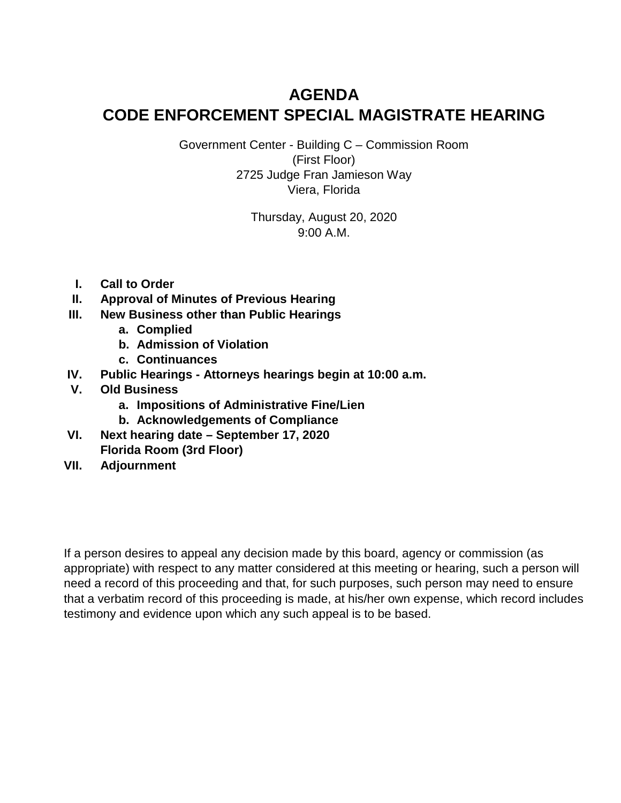# **AGENDA CODE ENFORCEMENT SPECIAL MAGISTRATE HEARING**

Government Center - Building C – Commission Room (First Floor) 2725 Judge Fran Jamieson Way Viera, Florida

> Thursday, August 20, 2020 9:00 A.M.

- **I. Call to Order**
- **II. Approval of Minutes of Previous Hearing**
- **III. New Business other than Public Hearings**
	- **a. Complied**
	- **b. Admission of Violation**
	- **c. Continuances**
- **IV. Public Hearings - Attorneys hearings begin at 10:00 a.m.**
- **V. Old Business**
	- **a. Impositions of Administrative Fine/Lien**
	- **b. Acknowledgements of Compliance**
- **VI. Next hearing date – September 17, 2020 Florida Room (3rd Floor)**
- **VII. Adjournment**

If a person desires to appeal any decision made by this board, agency or commission (as appropriate) with respect to any matter considered at this meeting or hearing, such a person will need a record of this proceeding and that, for such purposes, such person may need to ensure that a verbatim record of this proceeding is made, at his/her own expense, which record includes testimony and evidence upon which any such appeal is to be based.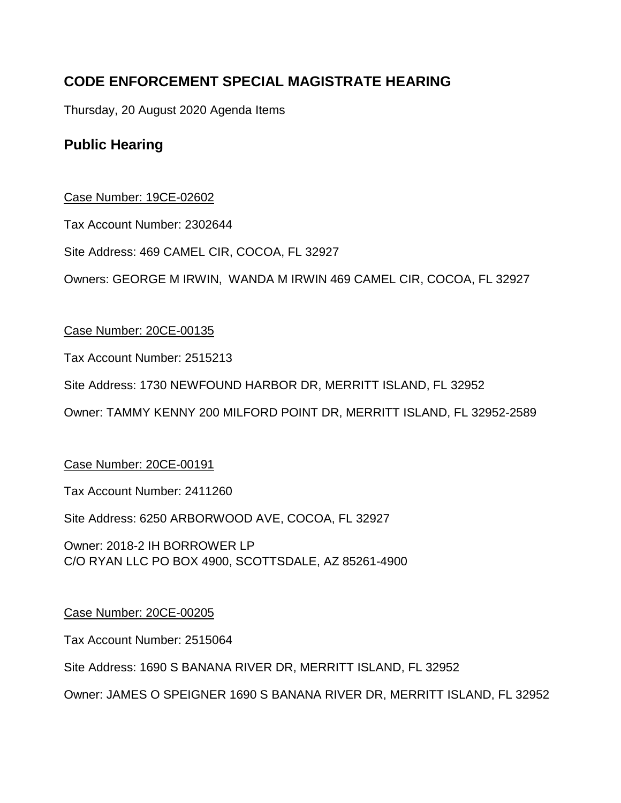## **CODE ENFORCEMENT SPECIAL MAGISTRATE HEARING**

Thursday, 20 August 2020 Agenda Items

## **Public Hearing**

Case Number: 19CE-02602

Tax Account Number: 2302644

Site Address: 469 CAMEL CIR, COCOA, FL 32927

Owners: GEORGE M IRWIN, WANDA M IRWIN 469 CAMEL CIR, COCOA, FL 32927

Case Number: 20CE-00135

Tax Account Number: 2515213

Site Address: 1730 NEWFOUND HARBOR DR, MERRITT ISLAND, FL 32952

Owner: TAMMY KENNY 200 MILFORD POINT DR, MERRITT ISLAND, FL 32952-2589

Case Number: 20CE-00191

Tax Account Number: 2411260

Site Address: 6250 ARBORWOOD AVE, COCOA, FL 32927

Owner: 2018-2 IH BORROWER LP C/O RYAN LLC PO BOX 4900, SCOTTSDALE, AZ 85261-4900

#### Case Number: 20CE-00205

Tax Account Number: 2515064

Site Address: 1690 S BANANA RIVER DR, MERRITT ISLAND, FL 32952

Owner: JAMES O SPEIGNER 1690 S BANANA RIVER DR, MERRITT ISLAND, FL 32952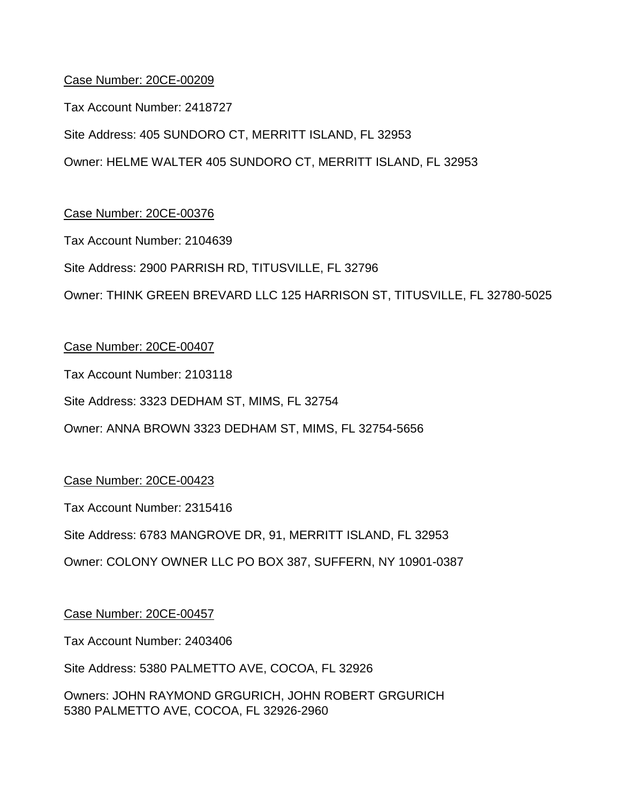Tax Account Number: 2418727

Site Address: 405 SUNDORO CT, MERRITT ISLAND, FL 32953

Owner: HELME WALTER 405 SUNDORO CT, MERRITT ISLAND, FL 32953

## Case Number: 20CE-00376

Tax Account Number: 2104639

Site Address: 2900 PARRISH RD, TITUSVILLE, FL 32796

Owner: THINK GREEN BREVARD LLC 125 HARRISON ST, TITUSVILLE, FL 32780-5025

## Case Number: 20CE-00407

Tax Account Number: 2103118

Site Address: 3323 DEDHAM ST, MIMS, FL 32754

Owner: ANNA BROWN 3323 DEDHAM ST, MIMS, FL 32754-5656

#### Case Number: 20CE-00423

Tax Account Number: 2315416

Site Address: 6783 MANGROVE DR, 91, MERRITT ISLAND, FL 32953

Owner: COLONY OWNER LLC PO BOX 387, SUFFERN, NY 10901-0387

#### Case Number: 20CE-00457

Tax Account Number: 2403406

Site Address: 5380 PALMETTO AVE, COCOA, FL 32926

Owners: JOHN RAYMOND GRGURICH, JOHN ROBERT GRGURICH 5380 PALMETTO AVE, COCOA, FL 32926-2960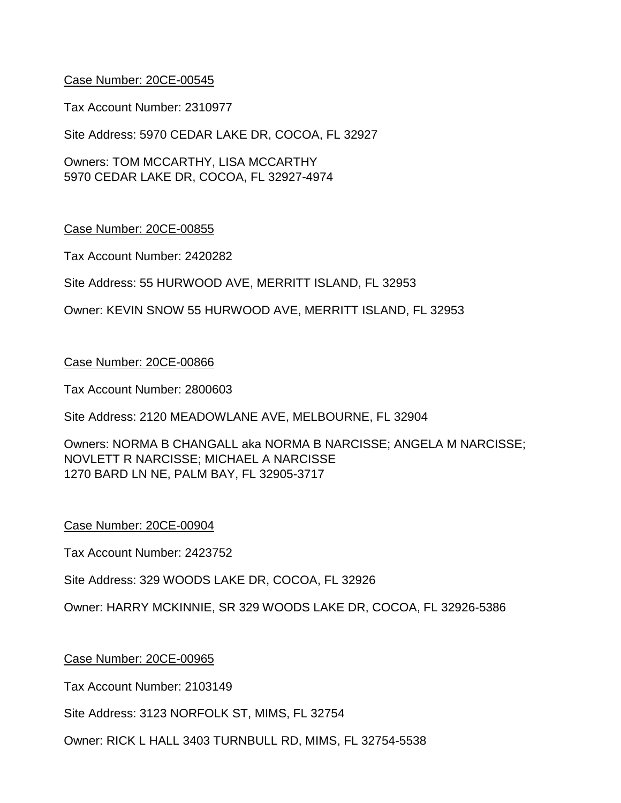Tax Account Number: 2310977

Site Address: 5970 CEDAR LAKE DR, COCOA, FL 32927

Owners: TOM MCCARTHY, LISA MCCARTHY 5970 CEDAR LAKE DR, COCOA, FL 32927-4974

#### Case Number: 20CE-00855

Tax Account Number: 2420282

Site Address: 55 HURWOOD AVE, MERRITT ISLAND, FL 32953

Owner: KEVIN SNOW 55 HURWOOD AVE, MERRITT ISLAND, FL 32953

#### Case Number: 20CE-00866

Tax Account Number: 2800603

Site Address: 2120 MEADOWLANE AVE, MELBOURNE, FL 32904

Owners: NORMA B CHANGALL aka NORMA B NARCISSE; ANGELA M NARCISSE; NOVLETT R NARCISSE; MICHAEL A NARCISSE 1270 BARD LN NE, PALM BAY, FL 32905-3717

#### Case Number: 20CE-00904

Tax Account Number: 2423752

Site Address: 329 WOODS LAKE DR, COCOA, FL 32926

Owner: HARRY MCKINNIE, SR 329 WOODS LAKE DR, COCOA, FL 32926-5386

#### Case Number: 20CE-00965

Tax Account Number: 2103149

Site Address: 3123 NORFOLK ST, MIMS, FL 32754

Owner: RICK L HALL 3403 TURNBULL RD, MIMS, FL 32754-5538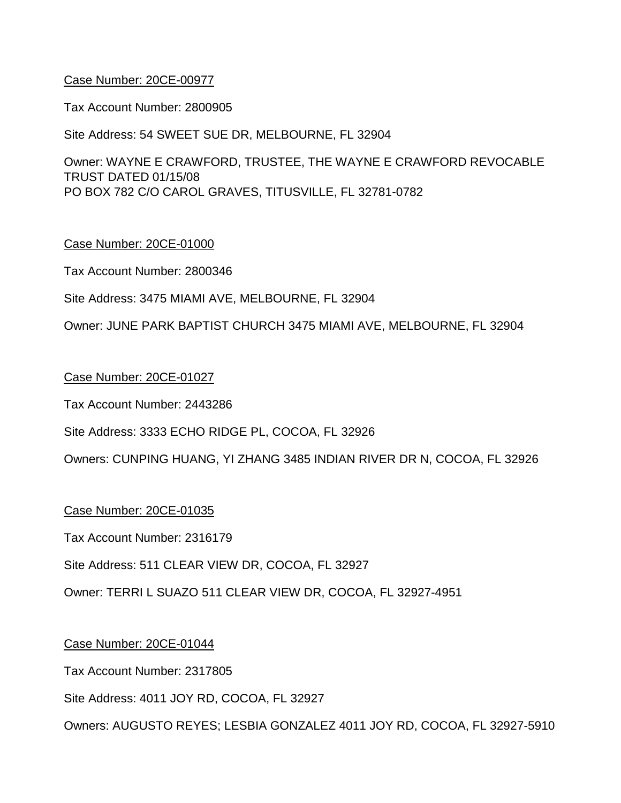Tax Account Number: 2800905

Site Address: 54 SWEET SUE DR, MELBOURNE, FL 32904

Owner: WAYNE E CRAWFORD, TRUSTEE, THE WAYNE E CRAWFORD REVOCABLE TRUST DATED 01/15/08 PO BOX 782 C/O CAROL GRAVES, TITUSVILLE, FL 32781-0782

#### Case Number: 20CE-01000

Tax Account Number: 2800346

Site Address: 3475 MIAMI AVE, MELBOURNE, FL 32904

Owner: JUNE PARK BAPTIST CHURCH 3475 MIAMI AVE, MELBOURNE, FL 32904

#### Case Number: 20CE-01027

Tax Account Number: 2443286

Site Address: 3333 ECHO RIDGE PL, COCOA, FL 32926

Owners: CUNPING HUANG, YI ZHANG 3485 INDIAN RIVER DR N, COCOA, FL 32926

#### Case Number: 20CE-01035

Tax Account Number: 2316179

Site Address: 511 CLEAR VIEW DR, COCOA, FL 32927

Owner: TERRI L SUAZO 511 CLEAR VIEW DR, COCOA, FL 32927-4951

#### Case Number: 20CE-01044

Tax Account Number: 2317805

Site Address: 4011 JOY RD, COCOA, FL 32927

Owners: AUGUSTO REYES; LESBIA GONZALEZ 4011 JOY RD, COCOA, FL 32927-5910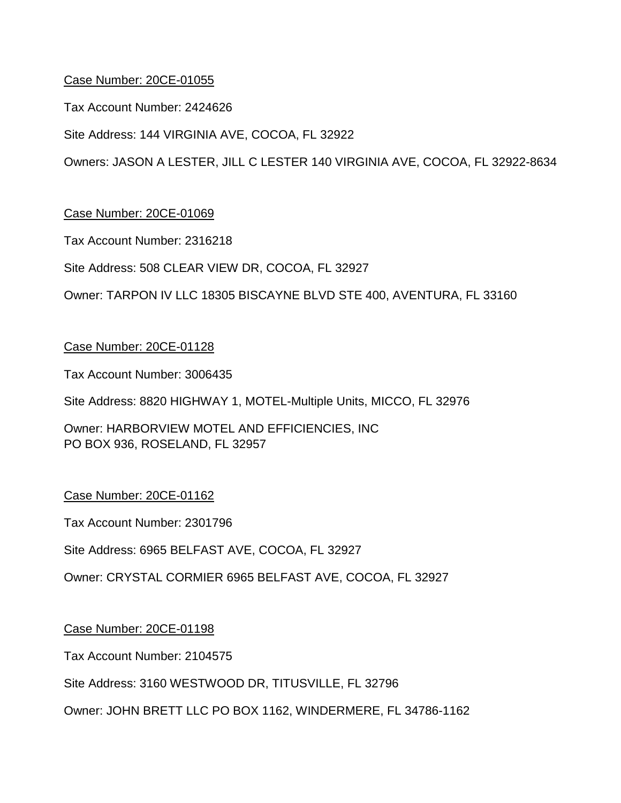Tax Account Number: 2424626

Site Address: 144 VIRGINIA AVE, COCOA, FL 32922

Owners: JASON A LESTER, JILL C LESTER 140 VIRGINIA AVE, COCOA, FL 32922-8634

## Case Number: 20CE-01069

Tax Account Number: 2316218

Site Address: 508 CLEAR VIEW DR, COCOA, FL 32927

Owner: TARPON IV LLC 18305 BISCAYNE BLVD STE 400, AVENTURA, FL 33160

#### Case Number: 20CE-01128

Tax Account Number: 3006435

Site Address: 8820 HIGHWAY 1, MOTEL-Multiple Units, MICCO, FL 32976

Owner: HARBORVIEW MOTEL AND EFFICIENCIES, INC PO BOX 936, ROSELAND, FL 32957

#### Case Number: 20CE-01162

Tax Account Number: 2301796

Site Address: 6965 BELFAST AVE, COCOA, FL 32927

Owner: CRYSTAL CORMIER 6965 BELFAST AVE, COCOA, FL 32927

#### Case Number: 20CE-01198

Tax Account Number: 2104575

Site Address: 3160 WESTWOOD DR, TITUSVILLE, FL 32796

Owner: JOHN BRETT LLC PO BOX 1162, WINDERMERE, FL 34786-1162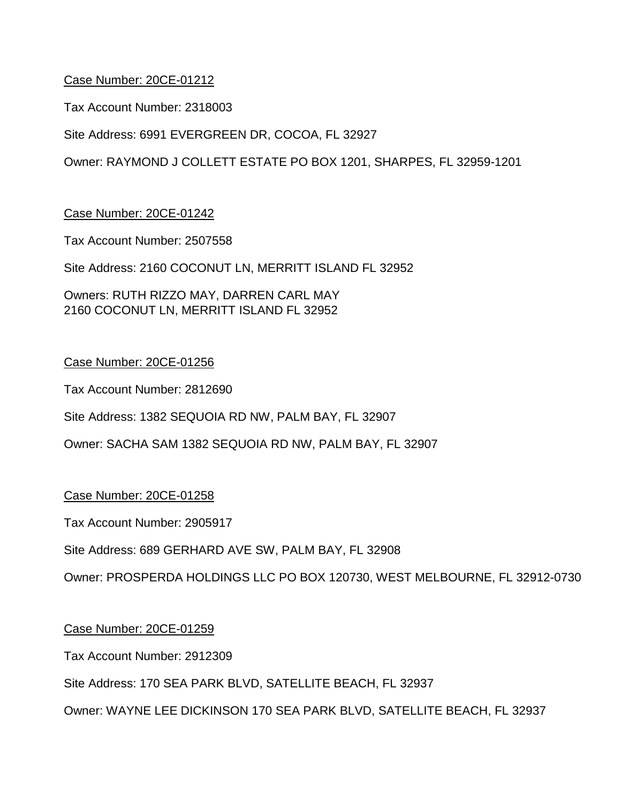Tax Account Number: 2318003

Site Address: 6991 EVERGREEN DR, COCOA, FL 32927

Owner: RAYMOND J COLLETT ESTATE PO BOX 1201, SHARPES, FL 32959-1201

## Case Number: 20CE-01242

Tax Account Number: 2507558

Site Address: 2160 COCONUT LN, MERRITT ISLAND FL 32952

Owners: RUTH RIZZO MAY, DARREN CARL MAY 2160 COCONUT LN, MERRITT ISLAND FL 32952

## Case Number: 20CE-01256

Tax Account Number: 2812690

Site Address: 1382 SEQUOIA RD NW, PALM BAY, FL 32907

Owner: SACHA SAM 1382 SEQUOIA RD NW, PALM BAY, FL 32907

#### Case Number: 20CE-01258

Tax Account Number: 2905917

Site Address: 689 GERHARD AVE SW, PALM BAY, FL 32908

Owner: PROSPERDA HOLDINGS LLC PO BOX 120730, WEST MELBOURNE, FL 32912-0730

#### Case Number: 20CE-01259

Tax Account Number: 2912309

Site Address: 170 SEA PARK BLVD, SATELLITE BEACH, FL 32937

Owner: WAYNE LEE DICKINSON 170 SEA PARK BLVD, SATELLITE BEACH, FL 32937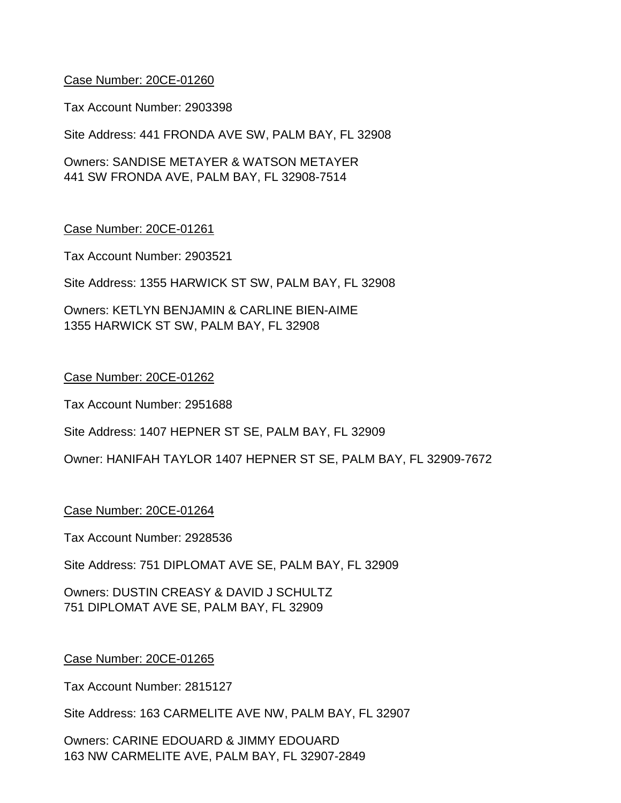Tax Account Number: 2903398

Site Address: 441 FRONDA AVE SW, PALM BAY, FL 32908

Owners: SANDISE METAYER & WATSON METAYER 441 SW FRONDA AVE, PALM BAY, FL 32908-7514

#### Case Number: 20CE-01261

Tax Account Number: 2903521

Site Address: 1355 HARWICK ST SW, PALM BAY, FL 32908

Owners: KETLYN BENJAMIN & CARLINE BIEN-AIME 1355 HARWICK ST SW, PALM BAY, FL 32908

#### Case Number: 20CE-01262

Tax Account Number: 2951688

Site Address: 1407 HEPNER ST SE, PALM BAY, FL 32909

Owner: HANIFAH TAYLOR 1407 HEPNER ST SE, PALM BAY, FL 32909-7672

#### Case Number: 20CE-01264

Tax Account Number: 2928536

Site Address: 751 DIPLOMAT AVE SE, PALM BAY, FL 32909

Owners: DUSTIN CREASY & DAVID J SCHULTZ 751 DIPLOMAT AVE SE, PALM BAY, FL 32909

#### Case Number: 20CE-01265

Tax Account Number: 2815127

Site Address: 163 CARMELITE AVE NW, PALM BAY, FL 32907

Owners: CARINE EDOUARD & JIMMY EDOUARD 163 NW CARMELITE AVE, PALM BAY, FL 32907-2849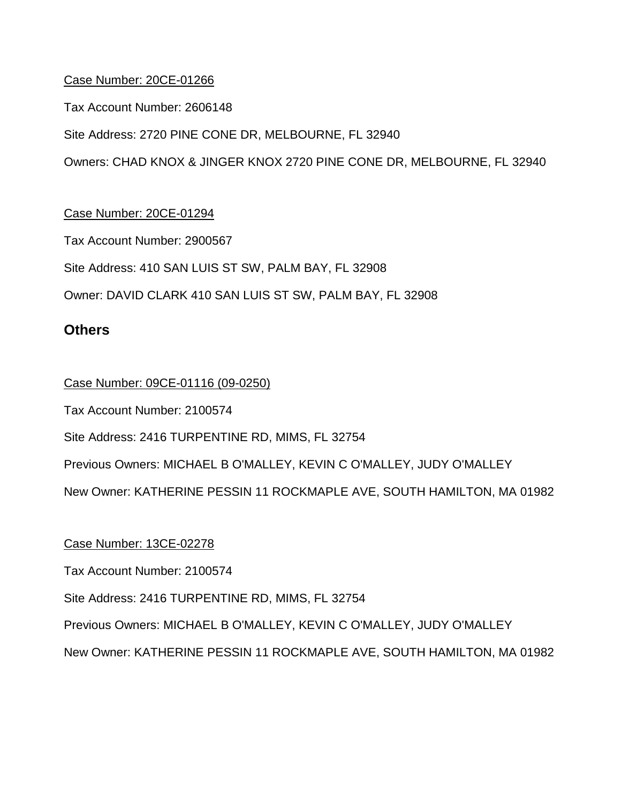Tax Account Number: 2606148

Site Address: 2720 PINE CONE DR, MELBOURNE, FL 32940

Owners: CHAD KNOX & JINGER KNOX 2720 PINE CONE DR, MELBOURNE, FL 32940

## Case Number: 20CE-01294

Tax Account Number: 2900567

Site Address: 410 SAN LUIS ST SW, PALM BAY, FL 32908

Owner: DAVID CLARK 410 SAN LUIS ST SW, PALM BAY, FL 32908

## **Others**

Case Number: 09CE-01116 (09-0250)

Tax Account Number: 2100574

Site Address: 2416 TURPENTINE RD, MIMS, FL 32754

Previous Owners: MICHAEL B O'MALLEY, KEVIN C O'MALLEY, JUDY O'MALLEY

New Owner: KATHERINE PESSIN 11 ROCKMAPLE AVE, SOUTH HAMILTON, MA 01982

## Case Number: 13CE-02278

Tax Account Number: 2100574

Site Address: 2416 TURPENTINE RD, MIMS, FL 32754

Previous Owners: MICHAEL B O'MALLEY, KEVIN C O'MALLEY, JUDY O'MALLEY

New Owner: KATHERINE PESSIN 11 ROCKMAPLE AVE, SOUTH HAMILTON, MA 01982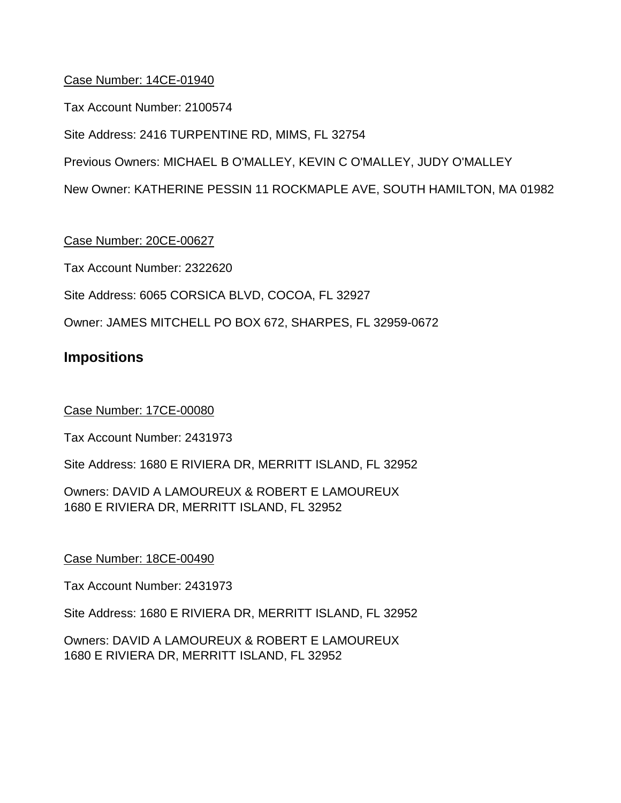## Case Number: 14CE-01940

Tax Account Number: 2100574

Site Address: 2416 TURPENTINE RD, MIMS, FL 32754

Previous Owners: MICHAEL B O'MALLEY, KEVIN C O'MALLEY, JUDY O'MALLEY

New Owner: KATHERINE PESSIN 11 ROCKMAPLE AVE, SOUTH HAMILTON, MA 01982

Case Number: 20CE-00627

Tax Account Number: 2322620

Site Address: 6065 CORSICA BLVD, COCOA, FL 32927

Owner: JAMES MITCHELL PO BOX 672, SHARPES, FL 32959-0672

## **Impositions**

#### Case Number: 17CE-00080

Tax Account Number: 2431973

Site Address: 1680 E RIVIERA DR, MERRITT ISLAND, FL 32952

Owners: DAVID A LAMOUREUX & ROBERT E LAMOUREUX 1680 E RIVIERA DR, MERRITT ISLAND, FL 32952

#### Case Number: 18CE-00490

Tax Account Number: 2431973

Site Address: 1680 E RIVIERA DR, MERRITT ISLAND, FL 32952

Owners: DAVID A LAMOUREUX & ROBERT E LAMOUREUX 1680 E RIVIERA DR, MERRITT ISLAND, FL 32952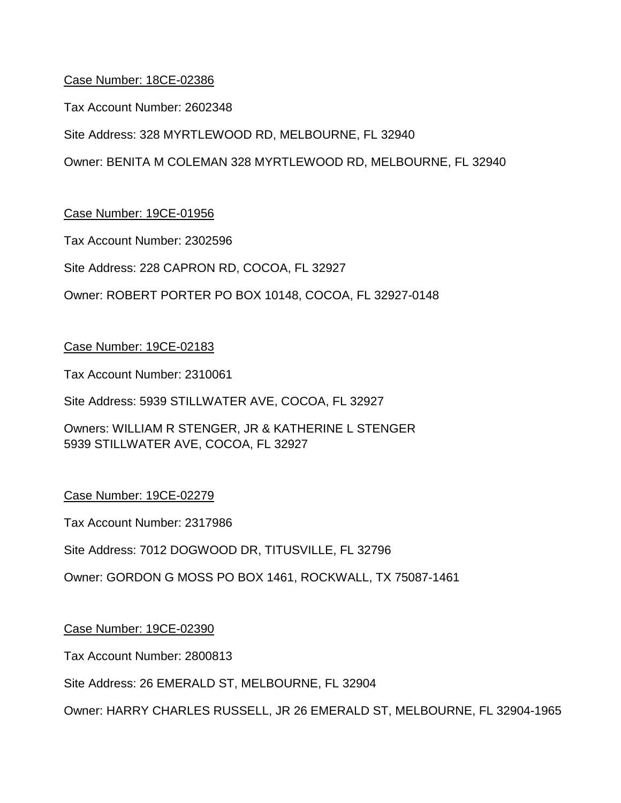#### Case Number: 18CE-02386

Tax Account Number: 2602348

Site Address: 328 MYRTLEWOOD RD, MELBOURNE, FL 32940

Owner: BENITA M COLEMAN 328 MYRTLEWOOD RD, MELBOURNE, FL 32940

## Case Number: 19CE-01956

Tax Account Number: 2302596

Site Address: 228 CAPRON RD, COCOA, FL 32927

Owner: ROBERT PORTER PO BOX 10148, COCOA, FL 32927-0148

## Case Number: 19CE-02183

Tax Account Number: 2310061

Site Address: 5939 STILLWATER AVE, COCOA, FL 32927

Owners: WILLIAM R STENGER, JR & KATHERINE L STENGER 5939 STILLWATER AVE, COCOA, FL 32927

#### Case Number: 19CE-02279

Tax Account Number: 2317986

Site Address: 7012 DOGWOOD DR, TITUSVILLE, FL 32796

Owner: GORDON G MOSS PO BOX 1461, ROCKWALL, TX 75087-1461

#### Case Number: 19CE-02390

Tax Account Number: 2800813

Site Address: 26 EMERALD ST, MELBOURNE, FL 32904

Owner: HARRY CHARLES RUSSELL, JR 26 EMERALD ST, MELBOURNE, FL 32904-1965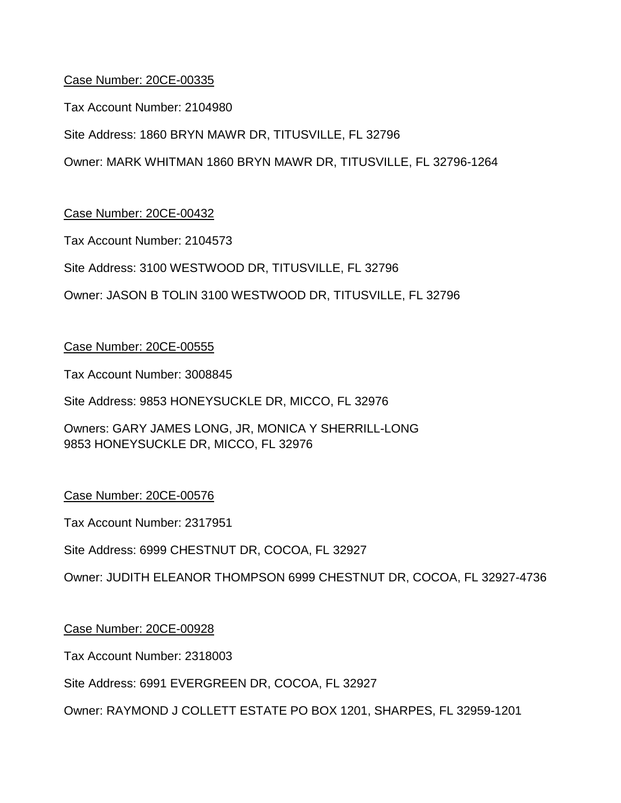Tax Account Number: 2104980

Site Address: 1860 BRYN MAWR DR, TITUSVILLE, FL 32796

Owner: MARK WHITMAN 1860 BRYN MAWR DR, TITUSVILLE, FL 32796-1264

## Case Number: 20CE-00432

Tax Account Number: 2104573

Site Address: 3100 WESTWOOD DR, TITUSVILLE, FL 32796

Owner: JASON B TOLIN 3100 WESTWOOD DR, TITUSVILLE, FL 32796

## Case Number: 20CE-00555

Tax Account Number: 3008845

Site Address: 9853 HONEYSUCKLE DR, MICCO, FL 32976

Owners: GARY JAMES LONG, JR, MONICA Y SHERRILL-LONG 9853 HONEYSUCKLE DR, MICCO, FL 32976

#### Case Number: 20CE-00576

Tax Account Number: 2317951

Site Address: 6999 CHESTNUT DR, COCOA, FL 32927

Owner: JUDITH ELEANOR THOMPSON 6999 CHESTNUT DR, COCOA, FL 32927-4736

#### Case Number: 20CE-00928

Tax Account Number: 2318003

Site Address: 6991 EVERGREEN DR, COCOA, FL 32927

Owner: RAYMOND J COLLETT ESTATE PO BOX 1201, SHARPES, FL 32959-1201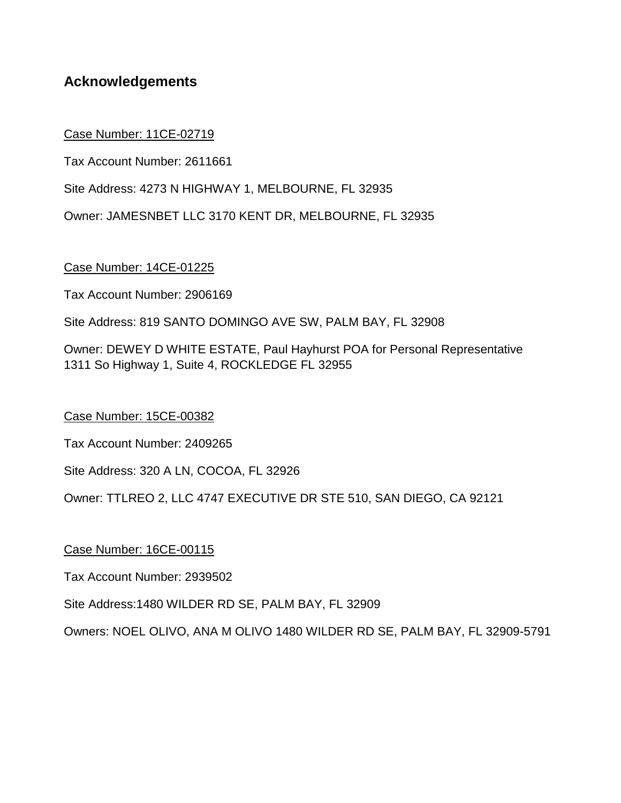## **Acknowledgements**

Case Number: 11CE-02719

Tax Account Number: 2611661

Site Address: 4273 N HIGHWAY 1, MELBOURNE, FL 32935

Owner: JAMESNBET LLC 3170 KENT DR, MELBOURNE, FL 32935

#### Case Number: 14CE-01225

Tax Account Number: 2906169

Site Address: 819 SANTO DOMINGO AVE SW, PALM BAY, FL 32908

Owner: DEWEY D WHITE ESTATE, Paul Hayhurst POA for Personal Representative 1311 So Highway 1, Suite 4, ROCKLEDGE FL 32955

#### Case Number: 15CE-00382

Tax Account Number: 2409265

Site Address: 320 A LN, COCOA, FL 32926

Owner: TTLREO 2, LLC 4747 EXECUTIVE DR STE 510, SAN DIEGO, CA 92121

#### Case Number: 16CE-00115

Tax Account Number: 2939502

Site Address:1480 WILDER RD SE, PALM BAY, FL 32909

Owners: NOEL OLIVO, ANA M OLIVO 1480 WILDER RD SE, PALM BAY, FL 32909-5791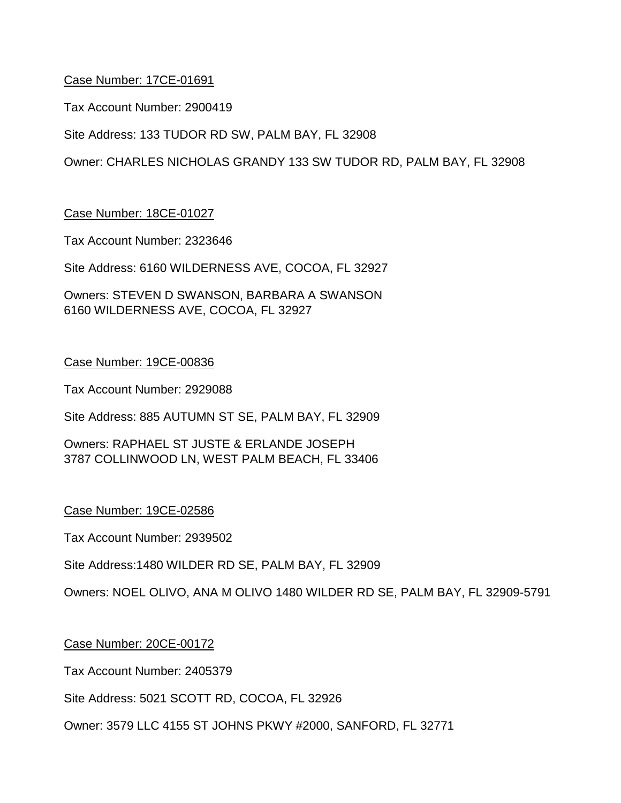#### Case Number: 17CE-01691

Tax Account Number: 2900419

Site Address: 133 TUDOR RD SW, PALM BAY, FL 32908

Owner: CHARLES NICHOLAS GRANDY 133 SW TUDOR RD, PALM BAY, FL 32908

#### Case Number: 18CE-01027

Tax Account Number: 2323646

Site Address: 6160 WILDERNESS AVE, COCOA, FL 32927

Owners: STEVEN D SWANSON, BARBARA A SWANSON 6160 WILDERNESS AVE, COCOA, FL 32927

#### Case Number: 19CE-00836

Tax Account Number: 2929088

Site Address: 885 AUTUMN ST SE, PALM BAY, FL 32909

Owners: RAPHAEL ST JUSTE & ERLANDE JOSEPH 3787 COLLINWOOD LN, WEST PALM BEACH, FL 33406

#### Case Number: 19CE-02586

Tax Account Number: 2939502

Site Address:1480 WILDER RD SE, PALM BAY, FL 32909

Owners: NOEL OLIVO, ANA M OLIVO 1480 WILDER RD SE, PALM BAY, FL 32909-5791

#### Case Number: 20CE-00172

Tax Account Number: 2405379

Site Address: 5021 SCOTT RD, COCOA, FL 32926

Owner: 3579 LLC 4155 ST JOHNS PKWY #2000, SANFORD, FL 32771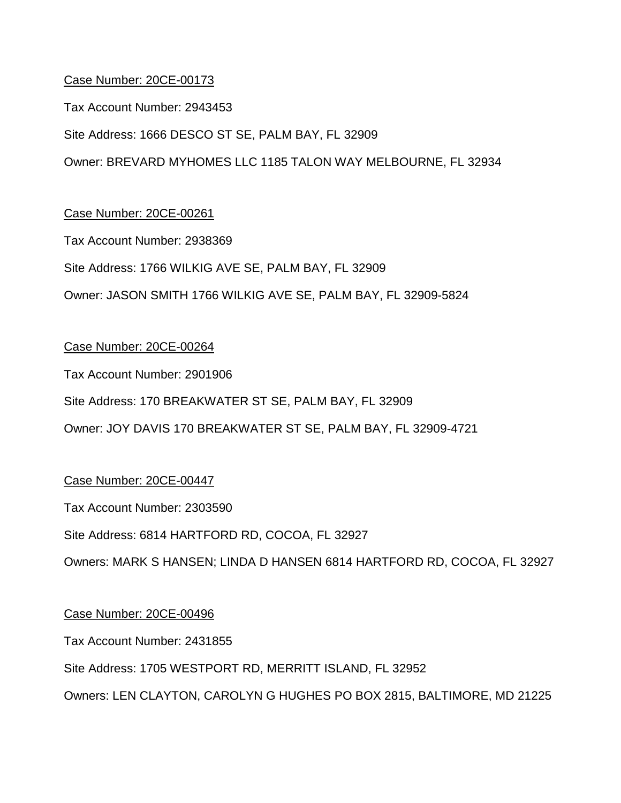Tax Account Number: 2943453

Site Address: 1666 DESCO ST SE, PALM BAY, FL 32909

Owner: BREVARD MYHOMES LLC 1185 TALON WAY MELBOURNE, FL 32934

## Case Number: 20CE-00261

Tax Account Number: 2938369

Site Address: 1766 WILKIG AVE SE, PALM BAY, FL 32909

Owner: JASON SMITH 1766 WILKIG AVE SE, PALM BAY, FL 32909-5824

## Case Number: 20CE-00264

Tax Account Number: 2901906

Site Address: 170 BREAKWATER ST SE, PALM BAY, FL 32909

Owner: JOY DAVIS 170 BREAKWATER ST SE, PALM BAY, FL 32909-4721

## Case Number: 20CE-00447

Tax Account Number: 2303590

Site Address: 6814 HARTFORD RD, COCOA, FL 32927

Owners: MARK S HANSEN; LINDA D HANSEN 6814 HARTFORD RD, COCOA, FL 32927

#### Case Number: 20CE-00496

Tax Account Number: 2431855

Site Address: 1705 WESTPORT RD, MERRITT ISLAND, FL 32952

Owners: LEN CLAYTON, CAROLYN G HUGHES PO BOX 2815, BALTIMORE, MD 21225